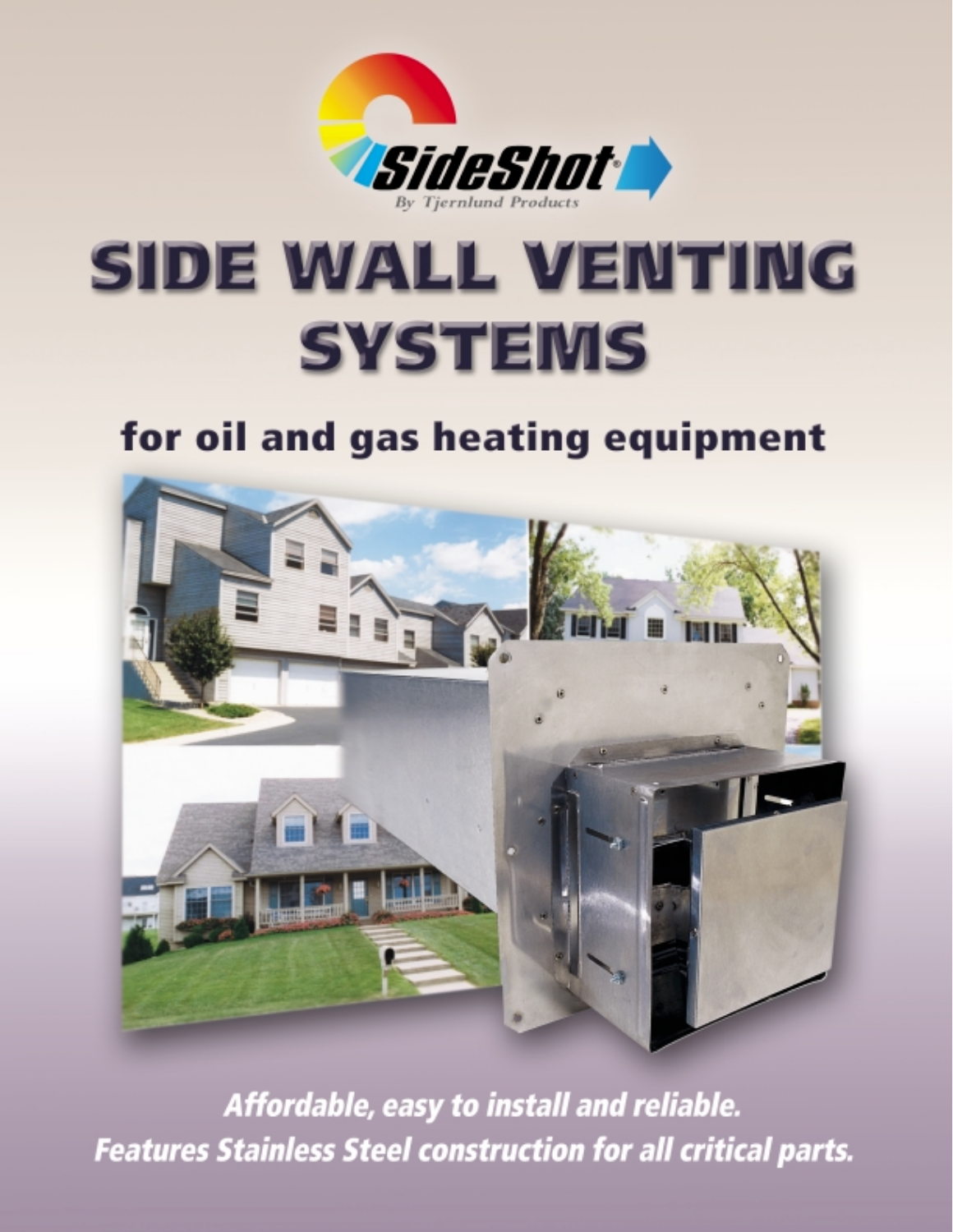

# SIDE WALL VENTING **SYSTEMS**

## for oil and gas heating equipment



Affordable, easy to install and reliable. **Features Stainless Steel construction for all critical parts.**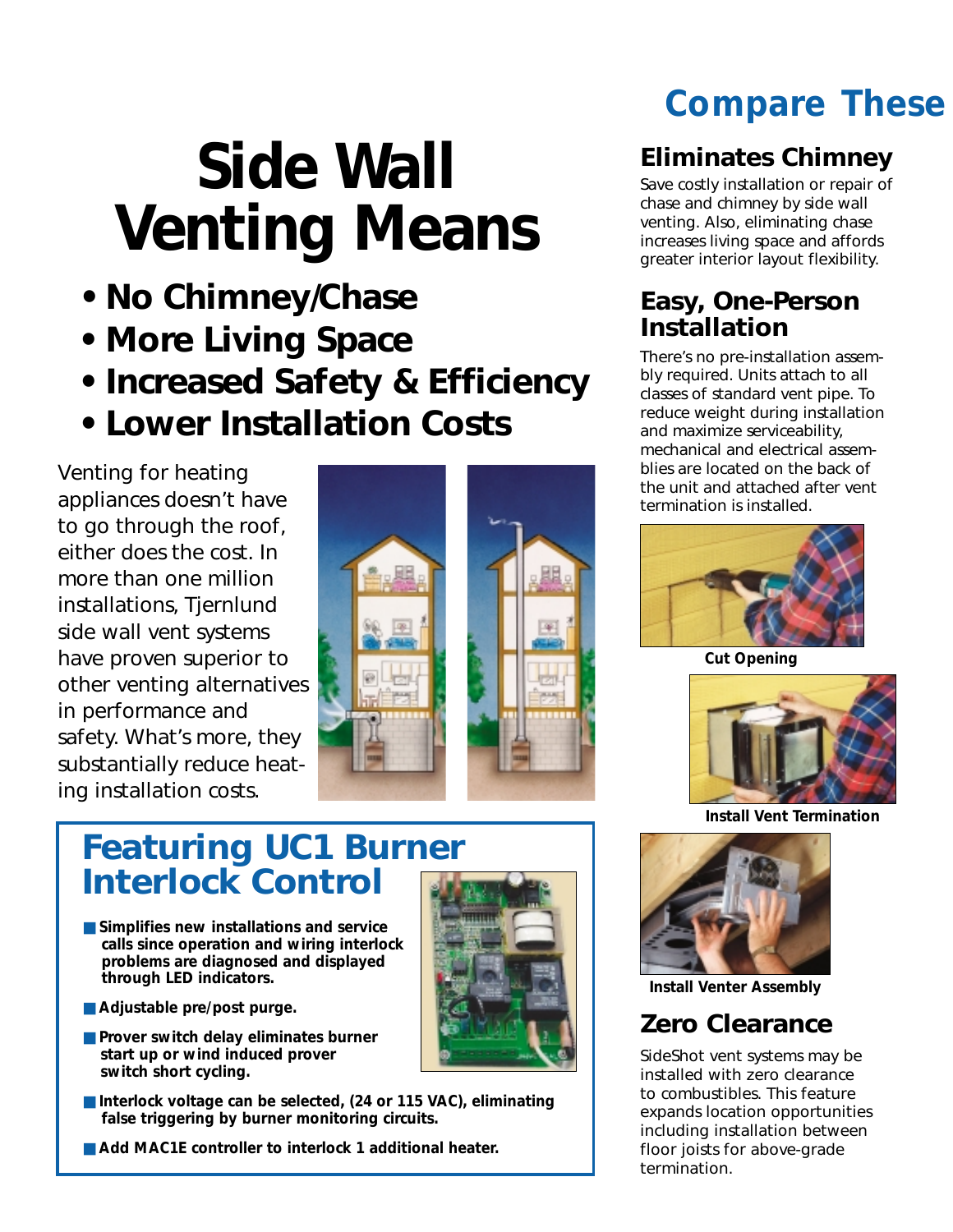# **Side Wall Venting Means**

- **No Chimney/Chase**
- **More Living Space**
- **Increased Safety & Efficiency**
- **Lower Installation Costs**

Venting for heating appliances doesn't have to go through the roof, either does the cost. In more than one million installations, Tjernlund side wall vent systems have proven superior to other venting alternatives in performance and safety. What's more, they substantially reduce heating installation costs.



### **Featuring UC1 Burner Interlock Control**

- **Simplifies new installations and service calls since operation and wiring interlock problems are diagnosed and displayed through LED indicators.**
- Adjustable pre/post purge.
- **Prover switch delay eliminates burner start up or wind induced prover switch short cycling.**
- **Interlock voltage can be selected, (24 or 115 VAC)**, eliminating **false triggering by burner monitoring circuits.**
- **Add MAC1E controller to interlock 1 additional heater.**

## *Compare These*

#### **Eliminates Chimney**

Save costly installation or repair of chase and chimney by side wall venting. Also, eliminating chase increases living space and affords greater interior layout flexibility.

#### **Easy, One-Person Installation**

There's no pre-installation assembly required. Units attach to all classes of standard vent pipe. To reduce weight during installation and maximize serviceability, mechanical and electrical assemblies are located on the back of the unit and attached after vent termination is installed.



**Cut Opening**



**Install Vent Termination**



**Install Venter Assembly**

#### **Zero Clearance**

SideShot vent systems may be installed with zero clearance to combustibles. This feature expands location opportunities including installation between floor joists for above-grade termination.

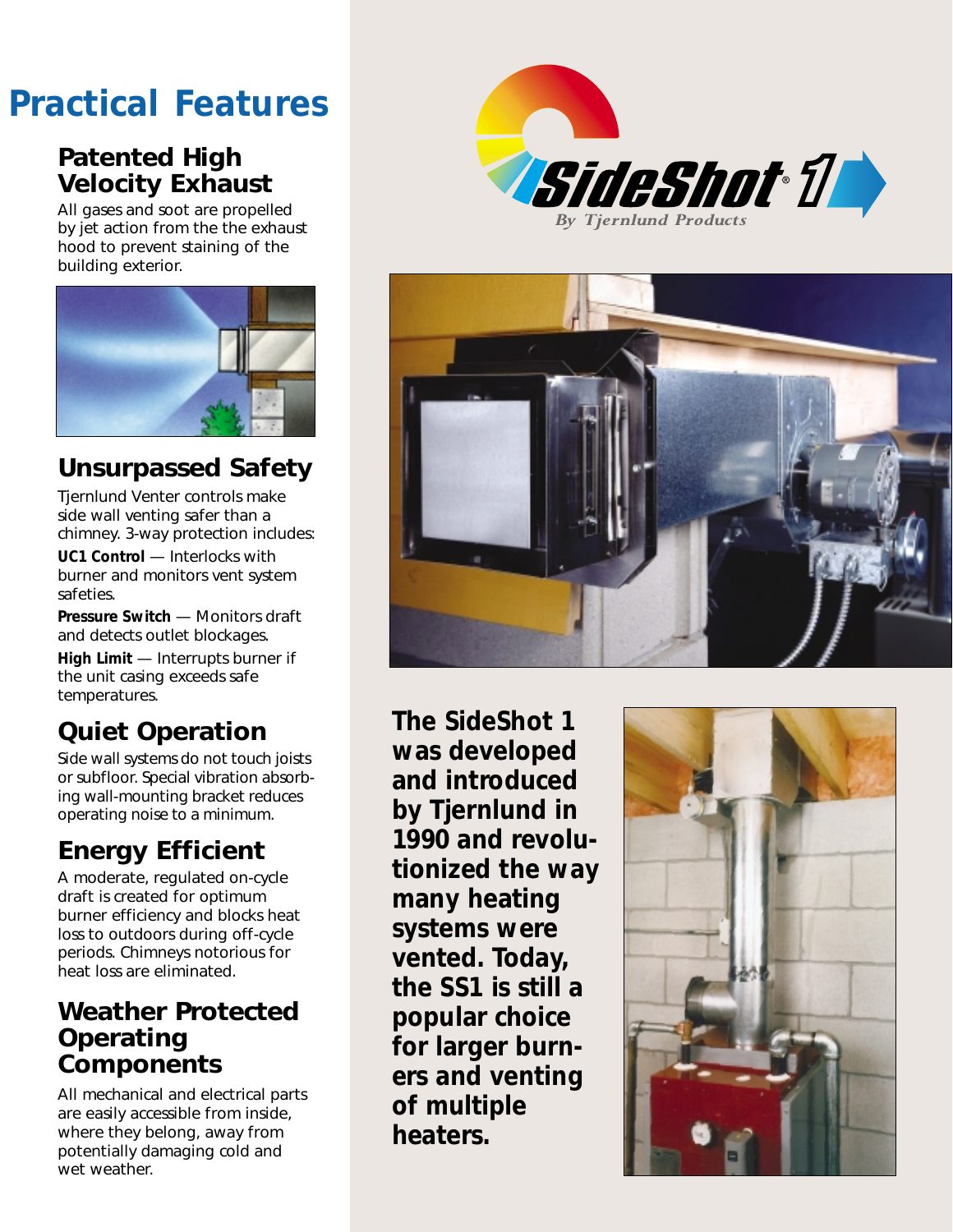## *Practical Features*

#### **Patented High Velocity Exhaust**

All gases and soot are propelled by jet action from the the exhaust hood to prevent staining of the building exterior.



#### **Unsurpassed Safety**

Tjernlund Venter controls make side wall venting safer than a chimney. 3-way protection includes: **UC1 Control** — Interlocks with burner and monitors vent system safeties.

**Pressure Switch** — Monitors draft and detects outlet blockages.

**High Limit** — Interrupts burner if the unit casing exceeds safe temperatures.

#### **Quiet Operation**

Side wall systems do not touch joists or subfloor. Special vibration absorbing wall-mounting bracket reduces operating noise to a minimum.

### **Energy Efficient**

A moderate, regulated on-cycle draft is created for optimum burner efficiency and blocks heat loss to outdoors during off-cycle periods. Chimneys notorious for heat loss are eliminated.

#### **Weather Protected Operating Components**

All mechanical and electrical parts are easily accessible from inside, where they belong, away from potentially damaging cold and wet weather.





**The SideShot 1 was developed and introduced by Tjernlund in 1990 and revolutionized the way many heating systems were vented. Today, the SS1 is still a popular choice for larger burners and venting of multiple heaters.**

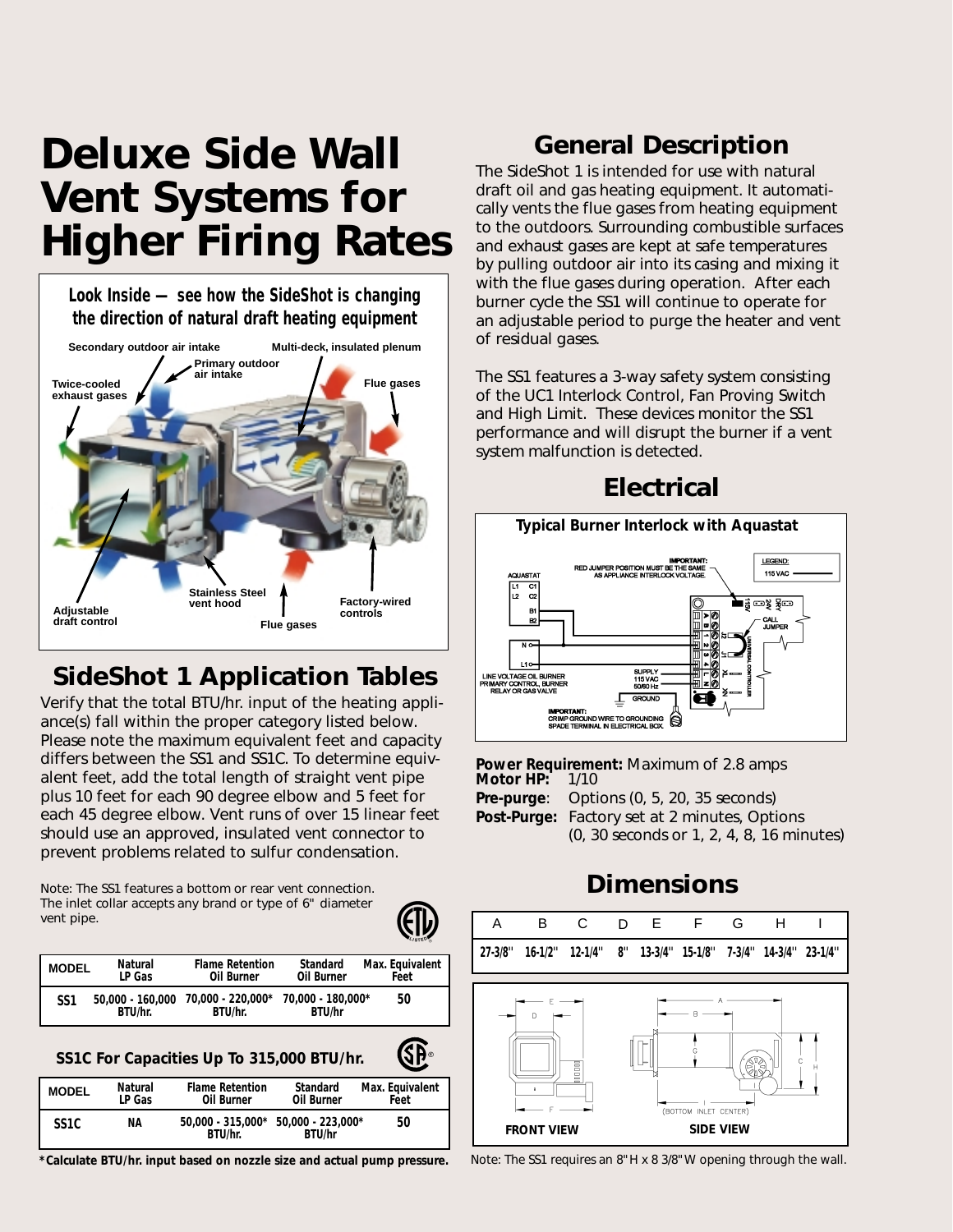## *Deluxe Side Wall Vent Systems for Higher Firing Rates*

**Look Inside — see how the SideShot is changing the direction of natural draft heating equipment**



#### **SideShot 1 Application Tables**

Verify that the total BTU/hr. input of the heating appliance(s) fall within the proper category listed below. Please note the maximum equivalent feet and capacity differs between the SS1 and SS1C. To determine equivalent feet, add the total length of straight vent pipe plus 10 feet for each 90 degree elbow and 5 feet for each 45 degree elbow. Vent runs of over 15 linear feet should use an approved, insulated vent connector to prevent problems related to sulfur condensation.

Note: The SS1 features a bottom or rear vent connection. The inlet collar accepts any brand or type of 6" diameter vent pipe.



**GP** 

| <b>MODEL</b>    | Natural                     | <b>Flame Retention</b>                         | Standard      | Max. Equivalent |
|-----------------|-----------------------------|------------------------------------------------|---------------|-----------------|
|                 | LP Gas                      | Oil Burner                                     | Oil Burner    | Feet            |
| SS <sub>1</sub> | 50,000 - 160,000<br>BTU/hr. | 70.000 - 220.000* 70.000 - 180.000*<br>BTU/hr. | <b>BTU/hr</b> | 50              |

#### **SS1C For Capacities Up To 315,000 BTU/hr.**

| <b>MODEL</b>      | Natural<br>LP Gas | <b>Flame Retention</b><br>Oil Burner             | Standard<br>Oil Burner | Max. Equivalent<br>Feet |
|-------------------|-------------------|--------------------------------------------------|------------------------|-------------------------|
| SS <sub>1</sub> C | ΝA                | $50.000 - 315.000* 50.000 - 223.000*$<br>BTU/hr. | <b>BTU/hr</b>          | 50                      |

**\*Calculate BTU/hr. input based on nozzle size and actual pump pressure.**

#### **General Description**

The SideShot 1 is intended for use with natural draft oil and gas heating equipment. It automatically vents the flue gases from heating equipment to the outdoors. Surrounding combustible surfaces and exhaust gases are kept at safe temperatures by pulling outdoor air into its casing and mixing it with the flue gases during operation. After each burner cycle the SS1 will continue to operate for an adjustable period to purge the heater and vent of residual gases.

The SS1 features a 3-way safety system consisting of the UC1 Interlock Control, Fan Proving Switch and High Limit. These devices monitor the SS1 performance and will disrupt the burner if a vent system malfunction is detected.



**Power Requirement:** Maximum of 2.8 amps **Motor HP: Pre-purge**: Options (0, 5, 20, 35 seconds) **Post-Purge:** Factory set at 2 minutes, Options (0, 30 seconds or 1, 2, 4, 8, 16 minutes)

#### **Dimensions**



Note: The SS1 requires an 8"H x 8 3/8"W opening through the wall.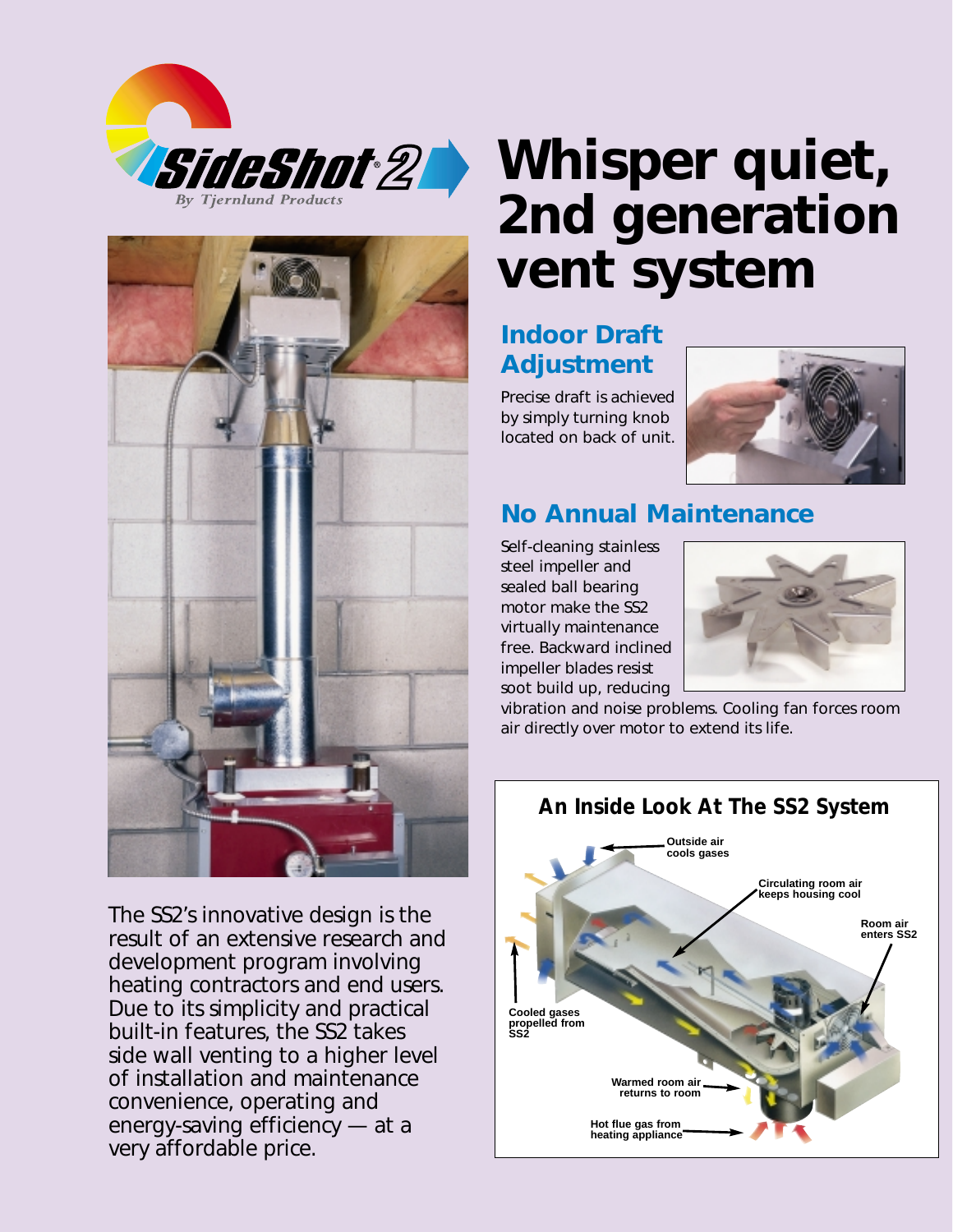



The SS2's innovative design is the result of an extensive research and development program involving heating contractors and end users. Due to its simplicity and practical built-in features, the SS2 takes side wall venting to a higher level of installation and maintenance convenience, operating and energy-saving efficiency — at a very affordable price.

# **Whisper quiet, 2nd generation vent system**

#### **Indoor Draft Adjustment**

Precise draft is achieved by simply turning knob located on back of unit.



#### **No Annual Maintenance**

Self-cleaning stainless steel impeller and sealed ball bearing motor make the SS2 virtually maintenance free. Backward inclined impeller blades resist soot build up, reducing



vibration and noise problems. Cooling fan forces room air directly over motor to extend its life.